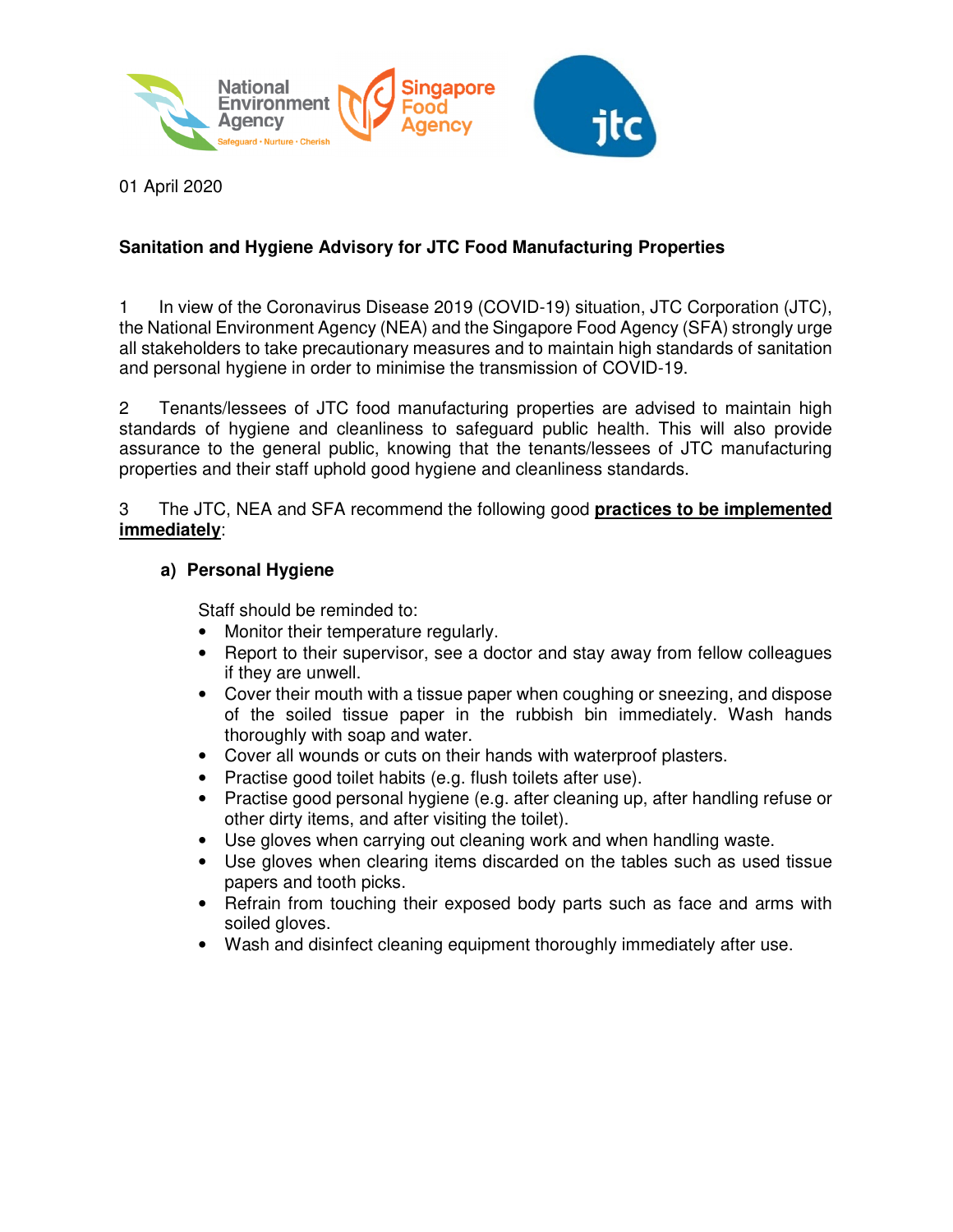

01 April 2020

### **Sanitation and Hygiene Advisory for JTC Food Manufacturing Properties**

1 In view of the Coronavirus Disease 2019 (COVID-19) situation, JTC Corporation (JTC), the National Environment Agency (NEA) and the Singapore Food Agency (SFA) strongly urge all stakeholders to take precautionary measures and to maintain high standards of sanitation and personal hygiene in order to minimise the transmission of COVID-19.

2 Tenants/lessees of JTC food manufacturing properties are advised to maintain high standards of hygiene and cleanliness to safeguard public health. This will also provide assurance to the general public, knowing that the tenants/lessees of JTC manufacturing properties and their staff uphold good hygiene and cleanliness standards.

3 The JTC, NEA and SFA recommend the following good **practices to be implemented immediately**:

#### **a) Personal Hygiene**

Staff should be reminded to:

- Monitor their temperature regularly.
- Report to their supervisor, see a doctor and stay away from fellow colleagues if they are unwell.
- Cover their mouth with a tissue paper when coughing or sneezing, and dispose of the soiled tissue paper in the rubbish bin immediately. Wash hands thoroughly with soap and water.
- Cover all wounds or cuts on their hands with waterproof plasters.
- Practise good toilet habits (e.g. flush toilets after use).
- Practise good personal hygiene (e.g. after cleaning up, after handling refuse or other dirty items, and after visiting the toilet).
- Use gloves when carrying out cleaning work and when handling waste.
- Use gloves when clearing items discarded on the tables such as used tissue papers and tooth picks.
- Refrain from touching their exposed body parts such as face and arms with soiled gloves.
- Wash and disinfect cleaning equipment thoroughly immediately after use.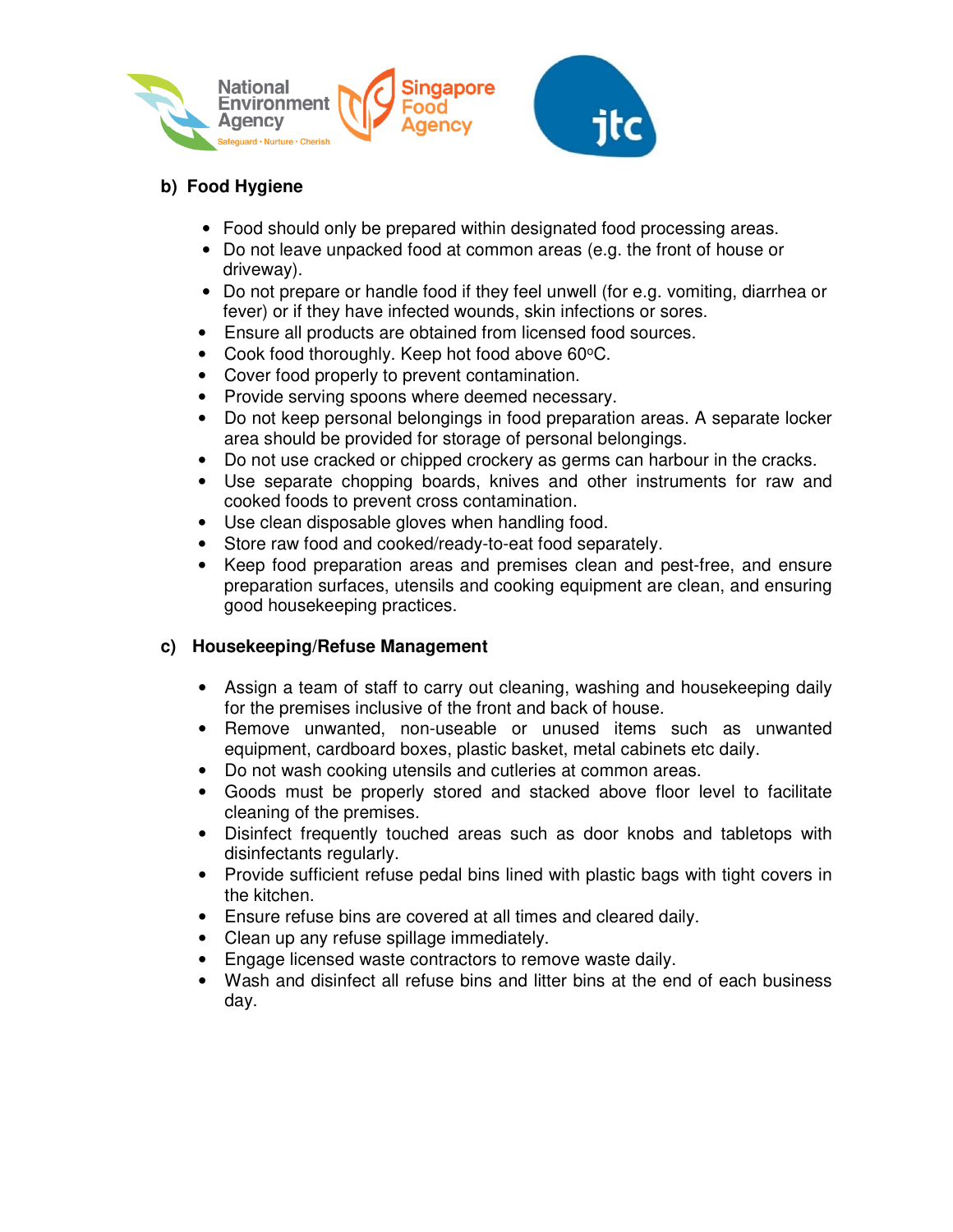



# **b) Food Hygiene**

- Food should only be prepared within designated food processing areas.
- Do not leave unpacked food at common areas (e.g. the front of house or driveway).
- Do not prepare or handle food if they feel unwell (for e.g. vomiting, diarrhea or fever) or if they have infected wounds, skin infections or sores.
- Ensure all products are obtained from licensed food sources.
- Cook food thoroughly. Keep hot food above  $60^{\circ}$ C.
- Cover food properly to prevent contamination.
- Provide serving spoons where deemed necessary.
- Do not keep personal belongings in food preparation areas. A separate locker area should be provided for storage of personal belongings.
- Do not use cracked or chipped crockery as germs can harbour in the cracks.
- Use separate chopping boards, knives and other instruments for raw and cooked foods to prevent cross contamination.
- Use clean disposable gloves when handling food.
- Store raw food and cooked/ready-to-eat food separately.
- Keep food preparation areas and premises clean and pest-free, and ensure preparation surfaces, utensils and cooking equipment are clean, and ensuring good housekeeping practices.

## **c) Housekeeping/Refuse Management**

- Assign a team of staff to carry out cleaning, washing and housekeeping daily for the premises inclusive of the front and back of house.
- Remove unwanted, non-useable or unused items such as unwanted equipment, cardboard boxes, plastic basket, metal cabinets etc daily.
- Do not wash cooking utensils and cutleries at common areas.
- Goods must be properly stored and stacked above floor level to facilitate cleaning of the premises.
- Disinfect frequently touched areas such as door knobs and tabletops with disinfectants regularly.
- Provide sufficient refuse pedal bins lined with plastic bags with tight covers in the kitchen.
- Ensure refuse bins are covered at all times and cleared daily.
- Clean up any refuse spillage immediately.
- Engage licensed waste contractors to remove waste daily.
- Wash and disinfect all refuse bins and litter bins at the end of each business day.